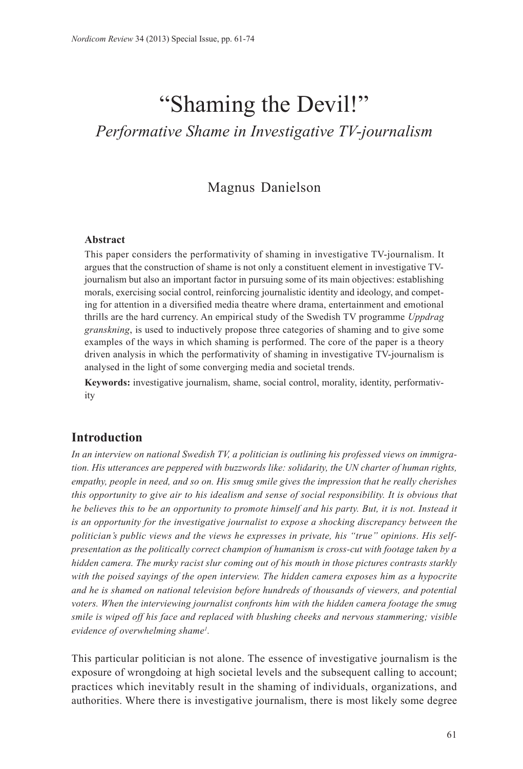# "Shaming the Devil!" *Performative Shame in Investigative TV-journalism*

# Magnus Danielson

#### **Abstract**

This paper considers the performativity of shaming in investigative TV-journalism. It argues that the construction of shame is not only a constituent element in investigative TVjournalism but also an important factor in pursuing some of its main objectives: establishing morals, exercising social control, reinforcing journalistic identity and ideology, and competing for attention in a diversified media theatre where drama, entertainment and emotional thrills are the hard currency. An empirical study of the Swedish TV programme *Uppdrag granskning*, is used to inductively propose three categories of shaming and to give some examples of the ways in which shaming is performed. The core of the paper is a theory driven analysis in which the performativity of shaming in investigative TV-journalism is analysed in the light of some converging media and societal trends.

**Keywords:** investigative journalism, shame, social control, morality, identity, performativity

## **Introduction**

*In an interview on national Swedish TV, a politician is outlining his professed views on immigration. His utterances are peppered with buzzwords like: solidarity, the UN charter of human rights, empathy, people in need, and so on. His smug smile gives the impression that he really cherishes this opportunity to give air to his idealism and sense of social responsibility. It is obvious that he believes this to be an opportunity to promote himself and his party. But, it is not. Instead it is an opportunity for the investigative journalist to expose a shocking discrepancy between the politician's public views and the views he expresses in private, his "true" opinions. His selfpresentation as the politically correct champion of humanism is cross-cut with footage taken by a hidden camera. The murky racist slur coming out of his mouth in those pictures contrasts starkly with the poised sayings of the open interview. The hidden camera exposes him as a hypocrite and he is shamed on national television before hundreds of thousands of viewers, and potential voters. When the interviewing journalist confronts him with the hidden camera footage the smug smile is wiped off his face and replaced with blushing cheeks and nervous stammering; visible evidence of overwhelming shame1 .*

This particular politician is not alone. The essence of investigative journalism is the exposure of wrongdoing at high societal levels and the subsequent calling to account; practices which inevitably result in the shaming of individuals, organizations, and authorities. Where there is investigative journalism, there is most likely some degree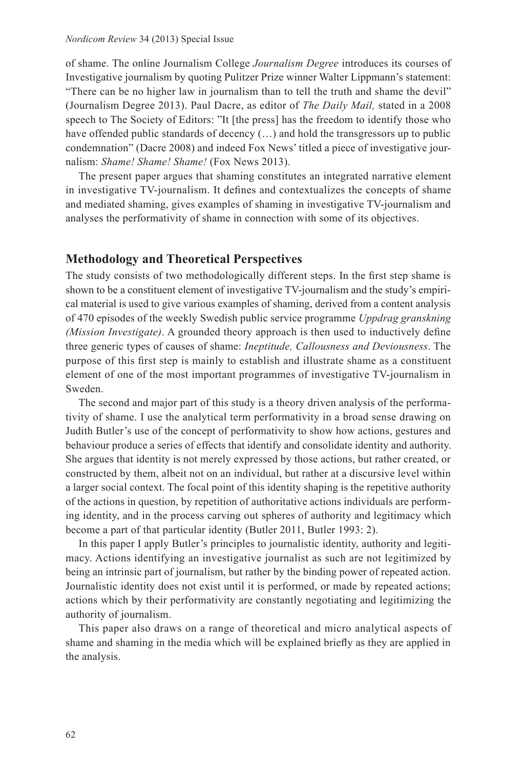of shame. The online Journalism College *Journalism Degree* introduces its courses of Investigative journalism by quoting Pulitzer Prize winner Walter Lippmann's statement: "There can be no higher law in journalism than to tell the truth and shame the devil" (Journalism Degree 2013). Paul Dacre, as editor of *The Daily Mail,* stated in a 2008 speech to The Society of Editors: "It [the press] has the freedom to identify those who have offended public standards of decency  $(...)$  and hold the transgressors up to public condemnation" (Dacre 2008) and indeed Fox News' titled a piece of investigative journalism: *Shame! Shame! Shame!* (Fox News 2013).

The present paper argues that shaming constitutes an integrated narrative element in investigative TV-journalism. It defines and contextualizes the concepts of shame and mediated shaming, gives examples of shaming in investigative TV-journalism and analyses the performativity of shame in connection with some of its objectives.

## **Methodology and Theoretical Perspectives**

The study consists of two methodologically different steps. In the first step shame is shown to be a constituent element of investigative TV-journalism and the study's empirical material is used to give various examples of shaming, derived from a content analysis of 470 episodes of the weekly Swedish public service programme *Uppdrag granskning (Mission Investigate)*. A grounded theory approach is then used to inductively define three generic types of causes of shame: *Ineptitude, Callousness and Deviousness*. The purpose of this first step is mainly to establish and illustrate shame as a constituent element of one of the most important programmes of investigative TV-journalism in Sweden.

The second and major part of this study is a theory driven analysis of the performativity of shame. I use the analytical term performativity in a broad sense drawing on Judith Butler's use of the concept of performativity to show how actions, gestures and behaviour produce a series of effects that identify and consolidate identity and authority. She argues that identity is not merely expressed by those actions, but rather created, or constructed by them, albeit not on an individual, but rather at a discursive level within a larger social context. The focal point of this identity shaping is the repetitive authority of the actions in question, by repetition of authoritative actions individuals are performing identity, and in the process carving out spheres of authority and legitimacy which become a part of that particular identity (Butler 2011, Butler 1993: 2).

In this paper I apply Butler's principles to journalistic identity, authority and legitimacy. Actions identifying an investigative journalist as such are not legitimized by being an intrinsic part of journalism, but rather by the binding power of repeated action. Journalistic identity does not exist until it is performed, or made by repeated actions; actions which by their performativity are constantly negotiating and legitimizing the authority of journalism.

This paper also draws on a range of theoretical and micro analytical aspects of shame and shaming in the media which will be explained briefly as they are applied in the analysis.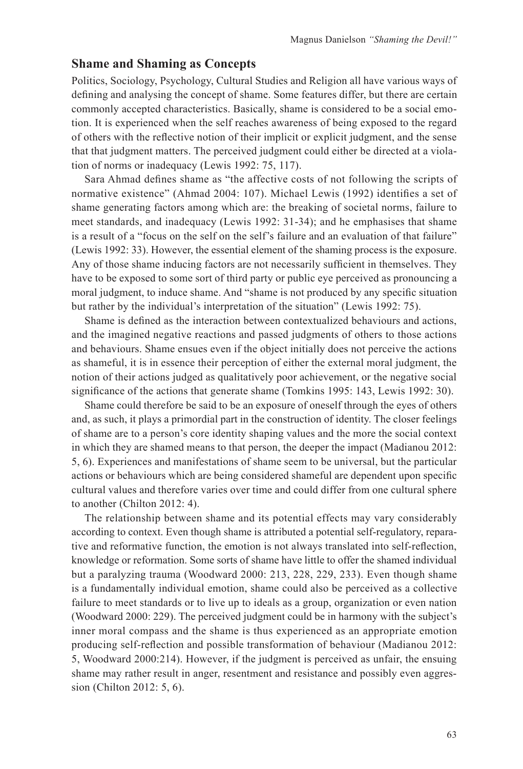#### **Shame and Shaming as Concepts**

Politics, Sociology, Psychology, Cultural Studies and Religion all have various ways of defining and analysing the concept of shame. Some features differ, but there are certain commonly accepted characteristics. Basically, shame is considered to be a social emotion. It is experienced when the self reaches awareness of being exposed to the regard of others with the reflective notion of their implicit or explicit judgment, and the sense that that judgment matters. The perceived judgment could either be directed at a violation of norms or inadequacy (Lewis 1992: 75, 117).

Sara Ahmad defines shame as "the affective costs of not following the scripts of normative existence" (Ahmad 2004: 107). Michael Lewis (1992) identifies a set of shame generating factors among which are: the breaking of societal norms, failure to meet standards, and inadequacy (Lewis 1992: 31-34); and he emphasises that shame is a result of a "focus on the self on the self's failure and an evaluation of that failure" (Lewis 1992: 33). However, the essential element of the shaming process is the exposure. Any of those shame inducing factors are not necessarily sufficient in themselves. They have to be exposed to some sort of third party or public eye perceived as pronouncing a moral judgment, to induce shame. And "shame is not produced by any specific situation but rather by the individual's interpretation of the situation" (Lewis 1992: 75).

Shame is defined as the interaction between contextualized behaviours and actions, and the imagined negative reactions and passed judgments of others to those actions and behaviours. Shame ensues even if the object initially does not perceive the actions as shameful, it is in essence their perception of either the external moral judgment, the notion of their actions judged as qualitatively poor achievement, or the negative social significance of the actions that generate shame (Tomkins 1995: 143, Lewis 1992: 30).

Shame could therefore be said to be an exposure of oneself through the eyes of others and, as such, it plays a primordial part in the construction of identity. The closer feelings of shame are to a person's core identity shaping values and the more the social context in which they are shamed means to that person, the deeper the impact (Madianou 2012: 5, 6). Experiences and manifestations of shame seem to be universal, but the particular actions or behaviours which are being considered shameful are dependent upon specific cultural values and therefore varies over time and could differ from one cultural sphere to another (Chilton 2012: 4).

The relationship between shame and its potential effects may vary considerably according to context. Even though shame is attributed a potential self-regulatory, reparative and reformative function, the emotion is not always translated into self-reflection, knowledge or reformation. Some sorts of shame have little to offer the shamed individual but a paralyzing trauma (Woodward 2000: 213, 228, 229, 233). Even though shame is a fundamentally individual emotion, shame could also be perceived as a collective failure to meet standards or to live up to ideals as a group, organization or even nation (Woodward 2000: 229). The perceived judgment could be in harmony with the subject's inner moral compass and the shame is thus experienced as an appropriate emotion producing self-reflection and possible transformation of behaviour (Madianou 2012: 5, Woodward 2000:214). However, if the judgment is perceived as unfair, the ensuing shame may rather result in anger, resentment and resistance and possibly even aggression (Chilton 2012: 5, 6).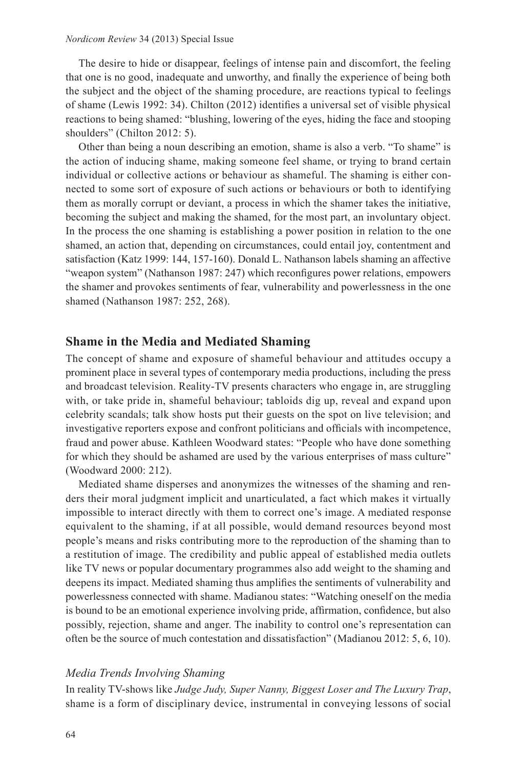The desire to hide or disappear, feelings of intense pain and discomfort, the feeling that one is no good, inadequate and unworthy, and finally the experience of being both the subject and the object of the shaming procedure, are reactions typical to feelings of shame (Lewis 1992: 34). Chilton (2012) identifies a universal set of visible physical reactions to being shamed: "blushing, lowering of the eyes, hiding the face and stooping shoulders" (Chilton 2012: 5).

Other than being a noun describing an emotion, shame is also a verb. "To shame" is the action of inducing shame, making someone feel shame, or trying to brand certain individual or collective actions or behaviour as shameful. The shaming is either connected to some sort of exposure of such actions or behaviours or both to identifying them as morally corrupt or deviant, a process in which the shamer takes the initiative, becoming the subject and making the shamed, for the most part, an involuntary object. In the process the one shaming is establishing a power position in relation to the one shamed, an action that, depending on circumstances, could entail joy, contentment and satisfaction (Katz 1999: 144, 157-160). Donald L. Nathanson labels shaming an affective "weapon system" (Nathanson 1987: 247) which reconfigures power relations, empowers the shamer and provokes sentiments of fear, vulnerability and powerlessness in the one shamed (Nathanson 1987: 252, 268).

#### **Shame in the Media and Mediated Shaming**

The concept of shame and exposure of shameful behaviour and attitudes occupy a prominent place in several types of contemporary media productions, including the press and broadcast television. Reality-TV presents characters who engage in, are struggling with, or take pride in, shameful behaviour; tabloids dig up, reveal and expand upon celebrity scandals; talk show hosts put their guests on the spot on live television; and investigative reporters expose and confront politicians and officials with incompetence, fraud and power abuse. Kathleen Woodward states: "People who have done something for which they should be ashamed are used by the various enterprises of mass culture" (Woodward 2000: 212).

Mediated shame disperses and anonymizes the witnesses of the shaming and renders their moral judgment implicit and unarticulated, a fact which makes it virtually impossible to interact directly with them to correct one's image. A mediated response equivalent to the shaming, if at all possible, would demand resources beyond most people's means and risks contributing more to the reproduction of the shaming than to a restitution of image. The credibility and public appeal of established media outlets like TV news or popular documentary programmes also add weight to the shaming and deepens its impact. Mediated shaming thus amplifies the sentiments of vulnerability and powerlessness connected with shame. Madianou states: "Watching oneself on the media is bound to be an emotional experience involving pride, affirmation, confidence, but also possibly, rejection, shame and anger. The inability to control one's representation can often be the source of much contestation and dissatisfaction" (Madianou 2012: 5, 6, 10).

#### *Media Trends Involving Shaming*

In reality TV-shows like *Judge Judy, Super Nanny, Biggest Loser and The Luxury Trap*, shame is a form of disciplinary device, instrumental in conveying lessons of social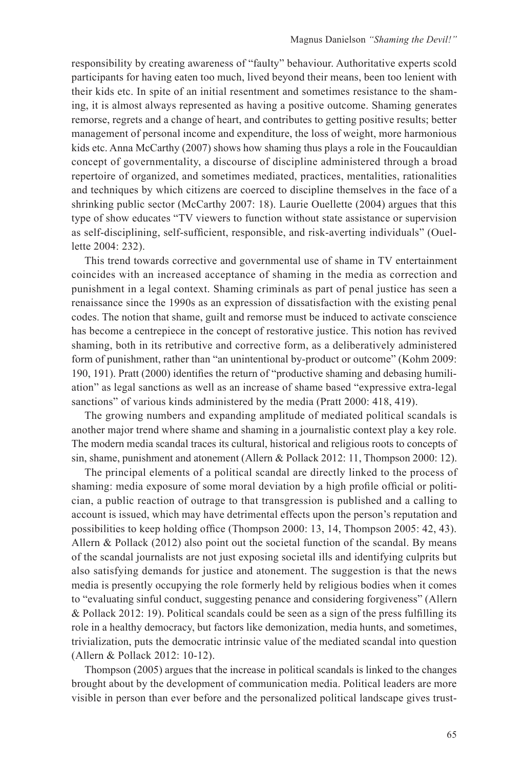responsibility by creating awareness of "faulty" behaviour. Authoritative experts scold participants for having eaten too much, lived beyond their means, been too lenient with their kids etc. In spite of an initial resentment and sometimes resistance to the shaming, it is almost always represented as having a positive outcome. Shaming generates remorse, regrets and a change of heart, and contributes to getting positive results; better management of personal income and expenditure, the loss of weight, more harmonious kids etc. Anna McCarthy (2007) shows how shaming thus plays a role in the Foucauldian concept of governmentality, a discourse of discipline administered through a broad repertoire of organized, and sometimes mediated, practices, mentalities, rationalities and techniques by which citizens are coerced to discipline themselves in the face of a shrinking public sector (McCarthy 2007: 18). Laurie Ouellette (2004) argues that this type of show educates "TV viewers to function without state assistance or supervision as self-disciplining, self-sufficient, responsible, and risk-averting individuals" (Ouellette 2004: 232).

This trend towards corrective and governmental use of shame in TV entertainment coincides with an increased acceptance of shaming in the media as correction and punishment in a legal context. Shaming criminals as part of penal justice has seen a renaissance since the 1990s as an expression of dissatisfaction with the existing penal codes. The notion that shame, guilt and remorse must be induced to activate conscience has become a centrepiece in the concept of restorative justice. This notion has revived shaming, both in its retributive and corrective form, as a deliberatively administered form of punishment, rather than "an unintentional by-product or outcome" (Kohm 2009: 190, 191). Pratt (2000) identifies the return of "productive shaming and debasing humiliation" as legal sanctions as well as an increase of shame based "expressive extra-legal sanctions" of various kinds administered by the media (Pratt 2000: 418, 419).

The growing numbers and expanding amplitude of mediated political scandals is another major trend where shame and shaming in a journalistic context play a key role. The modern media scandal traces its cultural, historical and religious roots to concepts of sin, shame, punishment and atonement (Allern & Pollack 2012: 11, Thompson 2000: 12).

The principal elements of a political scandal are directly linked to the process of shaming: media exposure of some moral deviation by a high profile official or politician, a public reaction of outrage to that transgression is published and a calling to account is issued, which may have detrimental effects upon the person's reputation and possibilities to keep holding office (Thompson 2000: 13, 14, Thompson 2005: 42, 43). Allern  $\&$  Pollack (2012) also point out the societal function of the scandal. By means of the scandal journalists are not just exposing societal ills and identifying culprits but also satisfying demands for justice and atonement. The suggestion is that the news media is presently occupying the role formerly held by religious bodies when it comes to "evaluating sinful conduct, suggesting penance and considering forgiveness" (Allern & Pollack 2012: 19). Political scandals could be seen as a sign of the press fulfilling its role in a healthy democracy, but factors like demonization, media hunts, and sometimes, trivialization, puts the democratic intrinsic value of the mediated scandal into question (Allern & Pollack 2012: 10-12).

Thompson (2005) argues that the increase in political scandals is linked to the changes brought about by the development of communication media. Political leaders are more visible in person than ever before and the personalized political landscape gives trust-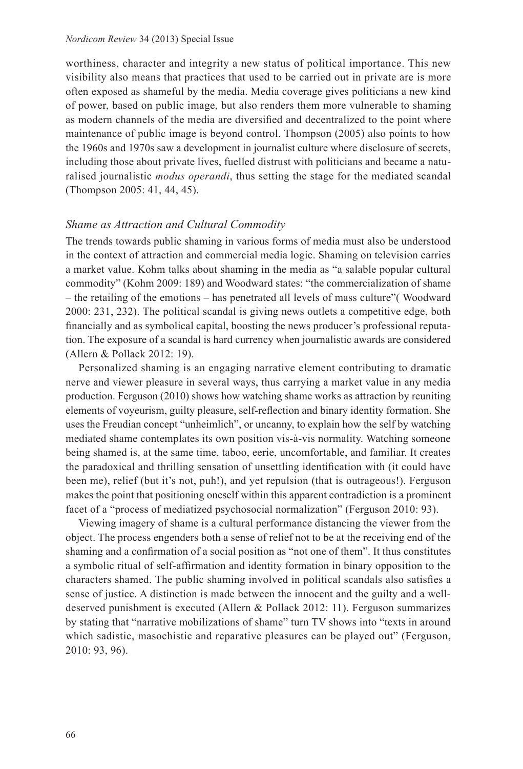#### *Nordicom Review* 34 (2013) Special Issue

worthiness, character and integrity a new status of political importance. This new visibility also means that practices that used to be carried out in private are is more often exposed as shameful by the media. Media coverage gives politicians a new kind of power, based on public image, but also renders them more vulnerable to shaming as modern channels of the media are diversified and decentralized to the point where maintenance of public image is beyond control. Thompson (2005) also points to how the 1960s and 1970s saw a development in journalist culture where disclosure of secrets, including those about private lives, fuelled distrust with politicians and became a naturalised journalistic *modus operandi*, thus setting the stage for the mediated scandal (Thompson 2005: 41, 44, 45).

#### *Shame as Attraction and Cultural Commodity*

The trends towards public shaming in various forms of media must also be understood in the context of attraction and commercial media logic. Shaming on television carries a market value. Kohm talks about shaming in the media as "a salable popular cultural commodity" (Kohm 2009: 189) and Woodward states: "the commercialization of shame – the retailing of the emotions – has penetrated all levels of mass culture"( Woodward 2000: 231, 232). The political scandal is giving news outlets a competitive edge, both financially and as symbolical capital, boosting the news producer's professional reputation. The exposure of a scandal is hard currency when journalistic awards are considered (Allern & Pollack 2012: 19).

Personalized shaming is an engaging narrative element contributing to dramatic nerve and viewer pleasure in several ways, thus carrying a market value in any media production. Ferguson (2010) shows how watching shame works as attraction by reuniting elements of voyeurism, guilty pleasure, self-reflection and binary identity formation. She uses the Freudian concept "unheimlich", or uncanny, to explain how the self by watching mediated shame contemplates its own position vis-à-vis normality. Watching someone being shamed is, at the same time, taboo, eerie, uncomfortable, and familiar. It creates the paradoxical and thrilling sensation of unsettling identification with (it could have been me), relief (but it's not, puh!), and yet repulsion (that is outrageous!). Ferguson makes the point that positioning oneself within this apparent contradiction is a prominent facet of a "process of mediatized psychosocial normalization" (Ferguson 2010: 93).

Viewing imagery of shame is a cultural performance distancing the viewer from the object. The process engenders both a sense of relief not to be at the receiving end of the shaming and a confirmation of a social position as "not one of them". It thus constitutes a symbolic ritual of self-affirmation and identity formation in binary opposition to the characters shamed. The public shaming involved in political scandals also satisfies a sense of justice. A distinction is made between the innocent and the guilty and a welldeserved punishment is executed (Allern & Pollack 2012: 11). Ferguson summarizes by stating that "narrative mobilizations of shame" turn TV shows into "texts in around which sadistic, masochistic and reparative pleasures can be played out" (Ferguson, 2010: 93, 96).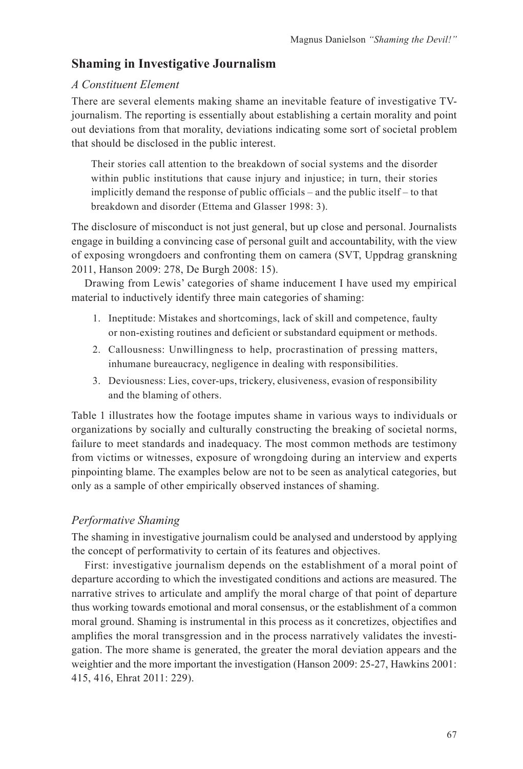# **Shaming in Investigative Journalism**

## *A Constituent Element*

There are several elements making shame an inevitable feature of investigative TVjournalism. The reporting is essentially about establishing a certain morality and point out deviations from that morality, deviations indicating some sort of societal problem that should be disclosed in the public interest.

Their stories call attention to the breakdown of social systems and the disorder within public institutions that cause injury and injustice; in turn, their stories implicitly demand the response of public officials – and the public itself – to that breakdown and disorder (Ettema and Glasser 1998: 3).

The disclosure of misconduct is not just general, but up close and personal. Journalists engage in building a convincing case of personal guilt and accountability, with the view of exposing wrongdoers and confronting them on camera (SVT, Uppdrag granskning 2011, Hanson 2009: 278, De Burgh 2008: 15).

Drawing from Lewis' categories of shame inducement I have used my empirical material to inductively identify three main categories of shaming:

- 1. Ineptitude: Mistakes and shortcomings, lack of skill and competence, faulty or non-existing routines and deficient or substandard equipment or methods.
- 2. Callousness: Unwillingness to help, procrastination of pressing matters, inhumane bureaucracy, negligence in dealing with responsibilities.
- 3. Deviousness: Lies, cover-ups, trickery, elusiveness, evasion of responsibility and the blaming of others.

Table 1 illustrates how the footage imputes shame in various ways to individuals or organizations by socially and culturally constructing the breaking of societal norms, failure to meet standards and inadequacy. The most common methods are testimony from victims or witnesses, exposure of wrongdoing during an interview and experts pinpointing blame. The examples below are not to be seen as analytical categories, but only as a sample of other empirically observed instances of shaming.

# *Performative Shaming*

The shaming in investigative journalism could be analysed and understood by applying the concept of performativity to certain of its features and objectives.

First: investigative journalism depends on the establishment of a moral point of departure according to which the investigated conditions and actions are measured. The narrative strives to articulate and amplify the moral charge of that point of departure thus working towards emotional and moral consensus, or the establishment of a common moral ground. Shaming is instrumental in this process as it concretizes, objectifies and amplifies the moral transgression and in the process narratively validates the investigation. The more shame is generated, the greater the moral deviation appears and the weightier and the more important the investigation (Hanson 2009: 25-27, Hawkins 2001: 415, 416, Ehrat 2011: 229).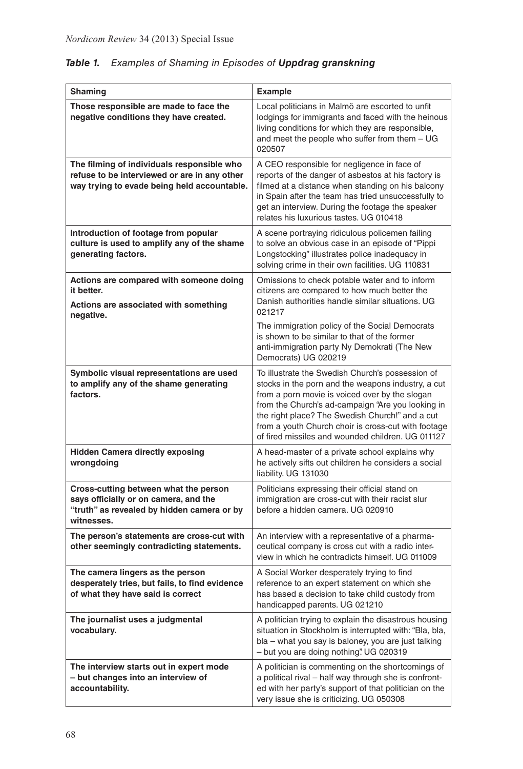| Shaming                                                                                                                                    | <b>Example</b>                                                                                                                                                                                                                                                                                                                                                               |
|--------------------------------------------------------------------------------------------------------------------------------------------|------------------------------------------------------------------------------------------------------------------------------------------------------------------------------------------------------------------------------------------------------------------------------------------------------------------------------------------------------------------------------|
| Those responsible are made to face the<br>negative conditions they have created.                                                           | Local politicians in Malmö are escorted to unfit<br>lodgings for immigrants and faced with the heinous<br>living conditions for which they are responsible,<br>and meet the people who suffer from them - UG<br>020507                                                                                                                                                       |
| The filming of individuals responsible who<br>refuse to be interviewed or are in any other<br>way trying to evade being held accountable.  | A CEO responsible for negligence in face of<br>reports of the danger of asbestos at his factory is<br>filmed at a distance when standing on his balcony<br>in Spain after the team has tried unsuccessfully to<br>get an interview. During the footage the speaker<br>relates his luxurious tastes. UG 010418                                                                |
| Introduction of footage from popular<br>culture is used to amplify any of the shame<br>generating factors.                                 | A scene portraying ridiculous policemen failing<br>to solve an obvious case in an episode of "Pippi<br>Longstocking" illustrates police inadequacy in<br>solving crime in their own facilities. UG 110831                                                                                                                                                                    |
| Actions are compared with someone doing<br>it better.<br>Actions are associated with something<br>negative.                                | Omissions to check potable water and to inform<br>citizens are compared to how much better the<br>Danish authorities handle similar situations. UG<br>021217                                                                                                                                                                                                                 |
|                                                                                                                                            | The immigration policy of the Social Democrats<br>is shown to be similar to that of the former<br>anti-immigration party Ny Demokrati (The New<br>Democrats) UG 020219                                                                                                                                                                                                       |
| Symbolic visual representations are used<br>to amplify any of the shame generating<br>factors.                                             | To illustrate the Swedish Church's possession of<br>stocks in the porn and the weapons industry, a cut<br>from a porn movie is voiced over by the slogan<br>from the Church's ad-campaign "Are you looking in<br>the right place? The Swedish Church!" and a cut<br>from a youth Church choir is cross-cut with footage<br>of fired missiles and wounded children. UG 011127 |
| <b>Hidden Camera directly exposing</b><br>wrongdoing                                                                                       | A head-master of a private school explains why<br>he actively sifts out children he considers a social<br>liability. UG 131030                                                                                                                                                                                                                                               |
| Cross-cutting between what the person<br>says officially or on camera, and the<br>"truth" as revealed by hidden camera or by<br>witnesses. | Politicians expressing their official stand on<br>immigration are cross-cut with their racist slur<br>before a hidden camera. UG 020910                                                                                                                                                                                                                                      |
| The person's statements are cross-cut with<br>other seemingly contradicting statements.                                                    | An interview with a representative of a pharma-<br>ceutical company is cross cut with a radio inter-<br>view in which he contradicts himself. UG 011009                                                                                                                                                                                                                      |
| The camera lingers as the person<br>desperately tries, but fails, to find evidence<br>of what they have said is correct                    | A Social Worker desperately trying to find<br>reference to an expert statement on which she<br>has based a decision to take child custody from<br>handicapped parents. UG 021210                                                                                                                                                                                             |
| The journalist uses a judgmental<br>vocabulary.                                                                                            | A politician trying to explain the disastrous housing<br>situation in Stockholm is interrupted with: "Bla, bla,<br>bla – what you say is baloney, you are just talking<br>- but you are doing nothing". UG 020319                                                                                                                                                            |
| The interview starts out in expert mode<br>- but changes into an interview of<br>accountability.                                           | A politician is commenting on the shortcomings of<br>a political rival - half way through she is confront-<br>ed with her party's support of that politician on the<br>very issue she is criticizing. UG 050308                                                                                                                                                              |

# *Table 1. Examples of Shaming in Episodes of Uppdrag granskning*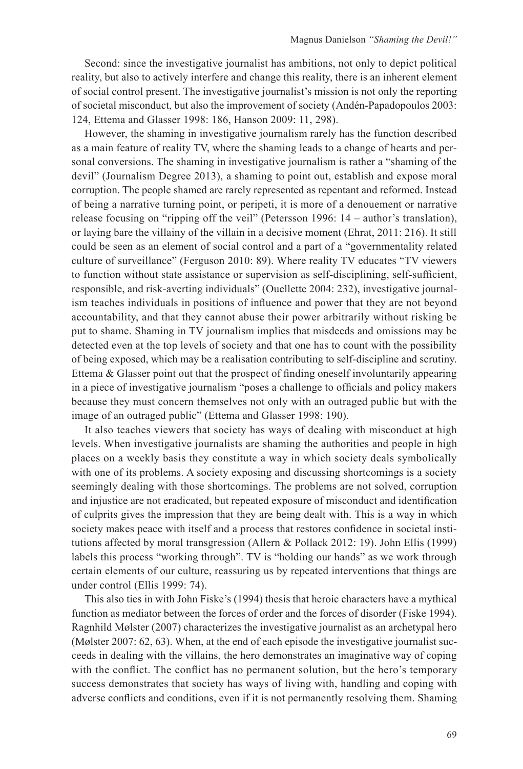Second: since the investigative journalist has ambitions, not only to depict political reality, but also to actively interfere and change this reality, there is an inherent element of social control present. The investigative journalist's mission is not only the reporting of societal misconduct, but also the improvement of society (Andén-Papadopoulos 2003: 124, Ettema and Glasser 1998: 186, Hanson 2009: 11, 298).

However, the shaming in investigative journalism rarely has the function described as a main feature of reality TV, where the shaming leads to a change of hearts and personal conversions. The shaming in investigative journalism is rather a "shaming of the devil" (Journalism Degree 2013), a shaming to point out, establish and expose moral corruption. The people shamed are rarely represented as repentant and reformed. Instead of being a narrative turning point, or peripeti, it is more of a denouement or narrative release focusing on "ripping off the veil" (Petersson 1996: 14 – author's translation), or laying bare the villainy of the villain in a decisive moment (Ehrat, 2011: 216). It still could be seen as an element of social control and a part of a "governmentality related culture of surveillance" (Ferguson 2010: 89). Where reality TV educates "TV viewers to function without state assistance or supervision as self-disciplining, self-sufficient, responsible, and risk-averting individuals" (Ouellette 2004: 232), investigative journalism teaches individuals in positions of influence and power that they are not beyond accountability, and that they cannot abuse their power arbitrarily without risking be put to shame. Shaming in TV journalism implies that misdeeds and omissions may be detected even at the top levels of society and that one has to count with the possibility of being exposed, which may be a realisation contributing to self-discipline and scrutiny. Ettema & Glasser point out that the prospect of finding oneself involuntarily appearing in a piece of investigative journalism "poses a challenge to officials and policy makers because they must concern themselves not only with an outraged public but with the image of an outraged public" (Ettema and Glasser 1998: 190).

It also teaches viewers that society has ways of dealing with misconduct at high levels. When investigative journalists are shaming the authorities and people in high places on a weekly basis they constitute a way in which society deals symbolically with one of its problems. A society exposing and discussing shortcomings is a society seemingly dealing with those shortcomings. The problems are not solved, corruption and injustice are not eradicated, but repeated exposure of misconduct and identification of culprits gives the impression that they are being dealt with. This is a way in which society makes peace with itself and a process that restores confidence in societal institutions affected by moral transgression (Allern & Pollack 2012: 19). John Ellis (1999) labels this process "working through". TV is "holding our hands" as we work through certain elements of our culture, reassuring us by repeated interventions that things are under control (Ellis 1999: 74).

This also ties in with John Fiske's (1994) thesis that heroic characters have a mythical function as mediator between the forces of order and the forces of disorder (Fiske 1994). Ragnhild Mølster (2007) characterizes the investigative journalist as an archetypal hero (Mølster 2007: 62, 63). When, at the end of each episode the investigative journalist succeeds in dealing with the villains, the hero demonstrates an imaginative way of coping with the conflict. The conflict has no permanent solution, but the hero's temporary success demonstrates that society has ways of living with, handling and coping with adverse conflicts and conditions, even if it is not permanently resolving them. Shaming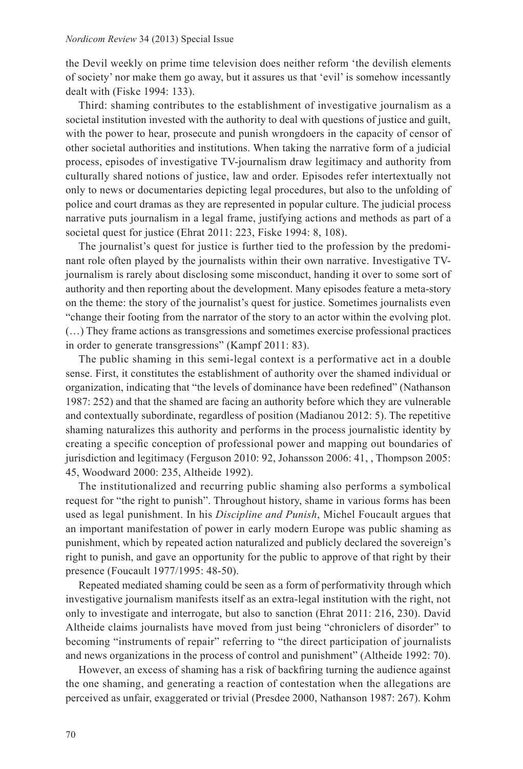the Devil weekly on prime time television does neither reform 'the devilish elements of society' nor make them go away, but it assures us that 'evil' is somehow incessantly dealt with (Fiske 1994: 133).

Third: shaming contributes to the establishment of investigative journalism as a societal institution invested with the authority to deal with questions of justice and guilt, with the power to hear, prosecute and punish wrongdoers in the capacity of censor of other societal authorities and institutions. When taking the narrative form of a judicial process, episodes of investigative TV-journalism draw legitimacy and authority from culturally shared notions of justice, law and order. Episodes refer intertextually not only to news or documentaries depicting legal procedures, but also to the unfolding of police and court dramas as they are represented in popular culture. The judicial process narrative puts journalism in a legal frame, justifying actions and methods as part of a societal quest for justice (Ehrat 2011: 223, Fiske 1994: 8, 108).

The journalist's quest for justice is further tied to the profession by the predominant role often played by the journalists within their own narrative. Investigative TVjournalism is rarely about disclosing some misconduct, handing it over to some sort of authority and then reporting about the development. Many episodes feature a meta-story on the theme: the story of the journalist's quest for justice. Sometimes journalists even "change their footing from the narrator of the story to an actor within the evolving plot. (…) They frame actions as transgressions and sometimes exercise professional practices in order to generate transgressions" (Kampf 2011: 83).

The public shaming in this semi-legal context is a performative act in a double sense. First, it constitutes the establishment of authority over the shamed individual or organization, indicating that "the levels of dominance have been redefined" (Nathanson 1987: 252) and that the shamed are facing an authority before which they are vulnerable and contextually subordinate, regardless of position (Madianou 2012: 5). The repetitive shaming naturalizes this authority and performs in the process journalistic identity by creating a specific conception of professional power and mapping out boundaries of jurisdiction and legitimacy (Ferguson 2010: 92, Johansson 2006: 41, , Thompson 2005: 45, Woodward 2000: 235, Altheide 1992).

The institutionalized and recurring public shaming also performs a symbolical request for "the right to punish". Throughout history, shame in various forms has been used as legal punishment. In his *Discipline and Punish*, Michel Foucault argues that an important manifestation of power in early modern Europe was public shaming as punishment, which by repeated action naturalized and publicly declared the sovereign's right to punish, and gave an opportunity for the public to approve of that right by their presence (Foucault 1977/1995: 48-50).

Repeated mediated shaming could be seen as a form of performativity through which investigative journalism manifests itself as an extra-legal institution with the right, not only to investigate and interrogate, but also to sanction (Ehrat 2011: 216, 230). David Altheide claims journalists have moved from just being "chroniclers of disorder" to becoming "instruments of repair" referring to "the direct participation of journalists and news organizations in the process of control and punishment" (Altheide 1992: 70).

However, an excess of shaming has a risk of backfiring turning the audience against the one shaming, and generating a reaction of contestation when the allegations are perceived as unfair, exaggerated or trivial (Presdee 2000, Nathanson 1987: 267). Kohm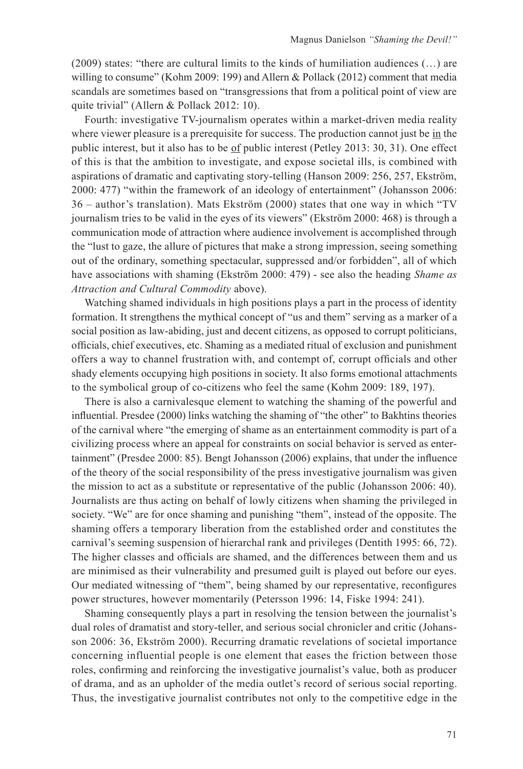(2009) states: "there are cultural limits to the kinds of humiliation audiences (…) are willing to consume" (Kohm 2009: 199) and Allern & Pollack (2012) comment that media scandals are sometimes based on "transgressions that from a political point of view are quite trivial" (Allern & Pollack 2012: 10).

Fourth: investigative TV-journalism operates within a market-driven media reality where viewer pleasure is a prerequisite for success. The production cannot just be in the public interest, but it also has to be <u>of</u> public interest (Petley 2013: 30, 31). One effect of this is that the ambition to investigate, and expose societal ills, is combined with aspirations of dramatic and captivating story-telling (Hanson 2009: 256, 257, Ekström, 2000: 477) "within the framework of an ideology of entertainment" (Johansson 2006: 36 – author's translation). Mats Ekström (2000) states that one way in which "TV journalism tries to be valid in the eyes of its viewers" (Ekström 2000: 468) is through a communication mode of attraction where audience involvement is accomplished through the "lust to gaze, the allure of pictures that make a strong impression, seeing something out of the ordinary, something spectacular, suppressed and/or forbidden", all of which have associations with shaming (Ekström 2000: 479) - see also the heading *Shame as Attraction and Cultural Commodity* above).

Watching shamed individuals in high positions plays a part in the process of identity formation. It strengthens the mythical concept of "us and them" serving as a marker of a social position as law-abiding, just and decent citizens, as opposed to corrupt politicians, officials, chief executives, etc. Shaming as a mediated ritual of exclusion and punishment offers a way to channel frustration with, and contempt of, corrupt officials and other shady elements occupying high positions in society. It also forms emotional attachments to the symbolical group of co-citizens who feel the same (Kohm 2009: 189, 197).

There is also a carnivalesque element to watching the shaming of the powerful and influential. Presdee (2000) links watching the shaming of "the other" to Bakhtins theories of the carnival where "the emerging of shame as an entertainment commodity is part of a civilizing process where an appeal for constraints on social behavior is served as entertainment" (Presdee 2000: 85). Bengt Johansson (2006) explains, that under the influence of the theory of the social responsibility of the press investigative journalism was given the mission to act as a substitute or representative of the public (Johansson 2006: 40). Journalists are thus acting on behalf of lowly citizens when shaming the privileged in society. "We" are for once shaming and punishing "them", instead of the opposite. The shaming offers a temporary liberation from the established order and constitutes the carnival's seeming suspension of hierarchal rank and privileges (Dentith 1995: 66, 72). The higher classes and officials are shamed, and the differences between them and us are minimised as their vulnerability and presumed guilt is played out before our eyes. Our mediated witnessing of "them", being shamed by our representative, reconfigures power structures, however momentarily (Petersson 1996: 14, Fiske 1994: 241).

Shaming consequently plays a part in resolving the tension between the journalist's dual roles of dramatist and story-teller, and serious social chronicler and critic (Johansson 2006: 36, Ekström 2000). Recurring dramatic revelations of societal importance concerning influential people is one element that eases the friction between those roles, confirming and reinforcing the investigative journalist's value, both as producer of drama, and as an upholder of the media outlet's record of serious social reporting. Thus, the investigative journalist contributes not only to the competitive edge in the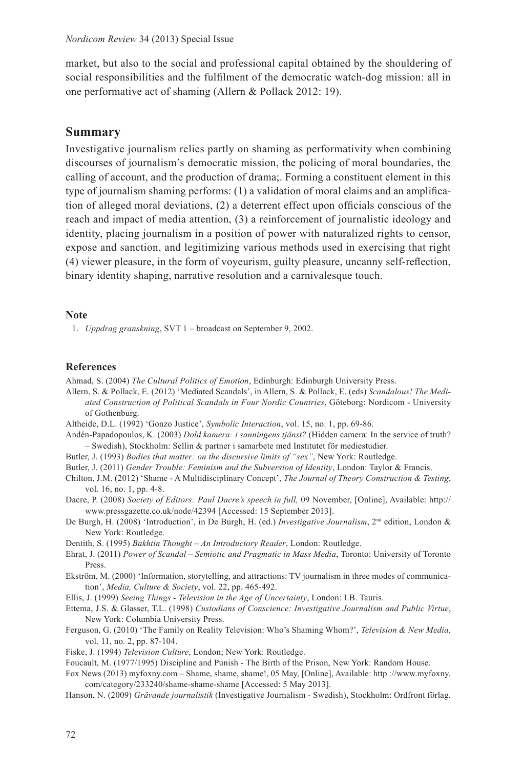market, but also to the social and professional capital obtained by the shouldering of social responsibilities and the fulfilment of the democratic watch-dog mission: all in one performative act of shaming (Allern & Pollack 2012: 19).

## **Summary**

Investigative journalism relies partly on shaming as performativity when combining discourses of journalism's democratic mission, the policing of moral boundaries, the calling of account, and the production of drama;. Forming a constituent element in this type of journalism shaming performs: (1) a validation of moral claims and an amplification of alleged moral deviations, (2) a deterrent effect upon officials conscious of the reach and impact of media attention, (3) a reinforcement of journalistic ideology and identity, placing journalism in a position of power with naturalized rights to censor, expose and sanction, and legitimizing various methods used in exercising that right (4) viewer pleasure, in the form of voyeurism, guilty pleasure, uncanny self-reflection, binary identity shaping, narrative resolution and a carnivalesque touch.

#### **Note**

1. *Uppdrag granskning*, SVT 1 – broadcast on September 9, 2002.

#### **References**

Ahmad, S. (2004) *The Cultural Politics of Emotion*, Edinburgh: Edinburgh University Press.

- Allern, S. & Pollack, E. (2012) 'Mediated Scandals', in Allern, S. & Pollack, E. (eds) *Scandalous! The Mediated Construction of Political Scandals in Four Nordic Countries*, Göteborg: Nordicom - University of Gothenburg.
- Altheide, D.L. (1992) 'Gonzo Justice', *Symbolic Interaction*, vol. 15, no. 1, pp. 69-86.
- Andén-Papadopoulos, K. (2003) *Dold kamera: i sanningens tjänst?* (Hidden camera: In the service of truth? – Swedish), Stockholm: Sellin & partner i samarbete med Institutet för mediestudier.
- Butler, J. (1993) *Bodies that matter: on the discursive limits of "sex"*, New York: Routledge.
- Butler, J. (2011) *Gender Trouble: Feminism and the Subversion of Identity*, London: Taylor & Francis.
- Chilton, J.M. (2012) 'Shame A Multidisciplinary Concept', *The Journal of Theory Construction & Testing*, vol. 16, no. 1, pp. 4-8.

Dacre, P. (2008) *Society of Editors: Paul Dacre's speech in full,* 09 November, [Online], Available: http:// www.pressgazette.co.uk/node/42394 [Accessed: 15 September 2013].

- De Burgh, H. (2008) 'Introduction', in De Burgh, H. (ed.) *Investigative Journalism*, 2nd edition, London & New York: Routledge.
- Dentith, S. (1995) *Bakhtin Thought ‒ An Introductory Reader*, London: Routledge.
- Ehrat, J. (2011) *Power of Scandal ‒ Semiotic and Pragmatic in Mass Media*, Toronto: University of Toronto Press.
- Ekström, M. (2000) 'Information, storytelling, and attractions: TV journalism in three modes of communication', *Media, Culture & Society*, vol. 22, pp. 465-492.
- Ellis, J. (1999) *Seeing Things Television in the Age of Uncertainty*, London: I.B. Tauris.
- Ettema, J.S. & Glasser, T.L. (1998) *Custodians of Conscience: Investigative Journalism and Public Virtue*, New York: Columbia University Press.
- Ferguson, G. (2010) 'The Family on Reality Television: Who's Shaming Whom?', *Television & New Media*, vol. 11, no. 2, pp. 87-104.
- Fiske, J. (1994) *Television Culture*, London; New York: Routledge.
- Foucault, M. (1977/1995) Discipline and Punish The Birth of the Prison, New York: Random House.
- Fox News (2013) myfoxny.com ‒ Shame, shame, shame!, 05 May, [Online], Available: http ://www.myfoxny. com/category/233240/shame-shame-shame [Accessed: 5 May 2013].
- Hanson, N. (2009) *Grävande journalistik* (Investigative Journalism Swedish), Stockholm: Ordfront förlag.